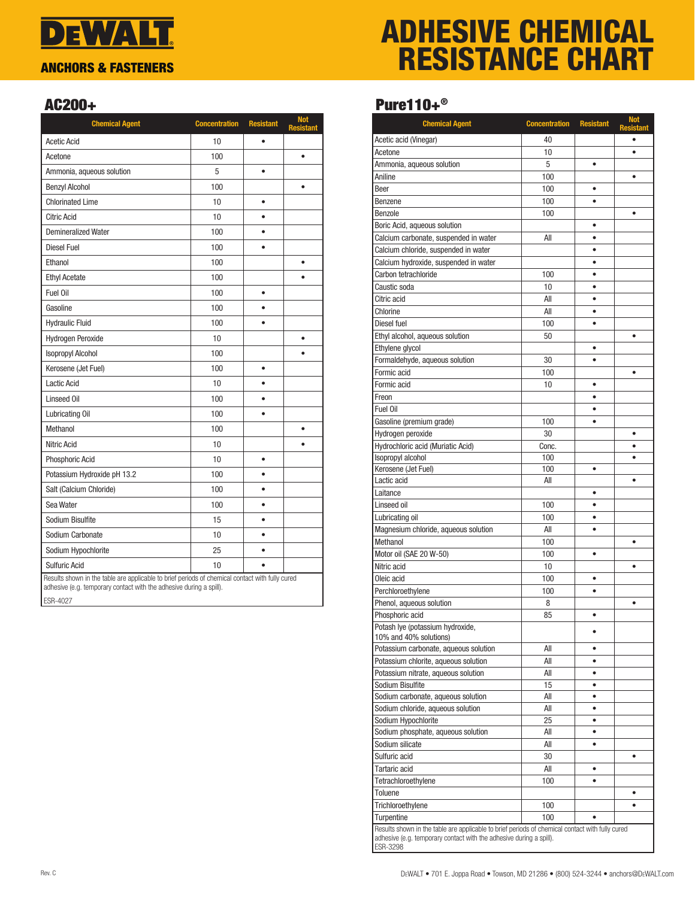## **DEWALT** ANCHORS & FASTENERS

# ADHESIVE CHEMICAL RESISTANCE CHART

### AC200+

| <b>Chemical Agent</b>                                                                                                                                                              | <b>Concentration</b> | <b>Resistant</b> | <b>Not</b><br><b>Resistant</b> |
|------------------------------------------------------------------------------------------------------------------------------------------------------------------------------------|----------------------|------------------|--------------------------------|
| <b>Acetic Acid</b>                                                                                                                                                                 | 10                   | $\bullet$        |                                |
| Acetone                                                                                                                                                                            | 100                  |                  | $\bullet$                      |
| Ammonia, aqueous solution                                                                                                                                                          | 5                    | $\bullet$        |                                |
| <b>Benzyl Alcohol</b>                                                                                                                                                              | 100                  |                  | ٠                              |
| <b>Chlorinated Lime</b>                                                                                                                                                            | 10                   | $\bullet$        |                                |
| <b>Citric Acid</b>                                                                                                                                                                 | 10                   | $\bullet$        |                                |
| <b>Demineralized Water</b>                                                                                                                                                         | 100                  | $\bullet$        |                                |
| Diesel Fuel                                                                                                                                                                        | 100                  | ٠                |                                |
| Ethanol                                                                                                                                                                            | 100                  |                  | $\bullet$                      |
| <b>Ethyl Acetate</b>                                                                                                                                                               | 100                  |                  |                                |
| Fuel Oil                                                                                                                                                                           | 100                  | $\bullet$        |                                |
| Gasoline                                                                                                                                                                           | 100                  | ٠                |                                |
| <b>Hydraulic Fluid</b>                                                                                                                                                             | 100                  | $\bullet$        |                                |
| Hydrogen Peroxide                                                                                                                                                                  | 10                   |                  | ٠                              |
| <b>Isopropyl Alcohol</b>                                                                                                                                                           | 100                  |                  |                                |
| Kerosene (Jet Fuel)                                                                                                                                                                | 100                  | $\bullet$        |                                |
| Lactic Acid                                                                                                                                                                        | 10                   | ٠                |                                |
| Linseed Oil                                                                                                                                                                        | 100                  | $\bullet$        |                                |
| Lubricating Oil                                                                                                                                                                    | 100                  | $\bullet$        |                                |
| Methanol                                                                                                                                                                           | 100                  |                  |                                |
| <b>Nitric Acid</b>                                                                                                                                                                 | 10                   |                  |                                |
| Phosphoric Acid                                                                                                                                                                    | 10                   | $\bullet$        |                                |
| Potassium Hydroxide pH 13.2                                                                                                                                                        | 100                  |                  |                                |
| Salt (Calcium Chloride)                                                                                                                                                            | 100                  | $\bullet$        |                                |
| Sea Water                                                                                                                                                                          | 100                  | ٠                |                                |
| Sodium Bisulfite                                                                                                                                                                   | 15                   | $\bullet$        |                                |
| Sodium Carbonate                                                                                                                                                                   | 10                   | $\bullet$        |                                |
| Sodium Hypochlorite                                                                                                                                                                | 25                   | $\bullet$        |                                |
| <b>Sulfuric Acid</b>                                                                                                                                                               | 10                   | ă                |                                |
| Results shown in the table are applicable to brief periods of chemical contact with fully cured<br>adhesive (e.g. temporary contact with the adhesive during a spill).<br>ESR-4027 |                      |                  |                                |

### Pure110+®

| <b>Chemical Agent</b>                                                                                                                                                  | <b>Concentration</b> | <b>Resistant</b>       | Not<br>Resistant |
|------------------------------------------------------------------------------------------------------------------------------------------------------------------------|----------------------|------------------------|------------------|
| Acetic acid (Vinegar)                                                                                                                                                  | 40                   |                        |                  |
| Acetone                                                                                                                                                                | 10                   |                        | $\bullet$        |
| Ammonia, aqueous solution                                                                                                                                              | 5                    | ٠                      |                  |
| Aniline                                                                                                                                                                | 100                  |                        | ٠                |
| Beer                                                                                                                                                                   | 100                  | ٠                      |                  |
| Benzene                                                                                                                                                                | 100                  |                        |                  |
| Benzole                                                                                                                                                                | 100                  |                        | $\bullet$        |
| Boric Acid, aqueous solution                                                                                                                                           |                      | ٠                      |                  |
| Calcium carbonate, suspended in water                                                                                                                                  | All                  | $\bullet$              |                  |
| Calcium chloride, suspended in water                                                                                                                                   |                      | $\bullet$              |                  |
| Calcium hydroxide, suspended in water                                                                                                                                  |                      |                        |                  |
| Carbon tetrachloride                                                                                                                                                   | 100                  | $\bullet$              |                  |
| Caustic soda                                                                                                                                                           | 10                   | $\bullet$              |                  |
| Citric acid                                                                                                                                                            | All                  | ٠                      |                  |
| Chlorine                                                                                                                                                               | All                  | $\bullet$              |                  |
| Diesel fuel                                                                                                                                                            | 100                  |                        |                  |
| Ethyl alcohol, aqueous solution                                                                                                                                        | 50                   |                        | $\bullet$        |
| Ethylene glycol                                                                                                                                                        |                      | ٠                      |                  |
| Formaldehyde, aqueous solution                                                                                                                                         | 30                   | ٠                      |                  |
| Formic acid                                                                                                                                                            | 100                  |                        | $\bullet$        |
| Formic acid                                                                                                                                                            | 10                   | $\bullet$              |                  |
| Freon                                                                                                                                                                  |                      | $\bullet$              |                  |
| Fuel Oil                                                                                                                                                               |                      | ٠                      |                  |
| Gasoline (premium grade)                                                                                                                                               | 100                  | ٠                      |                  |
| Hydrogen peroxide                                                                                                                                                      | 30                   |                        | ٠                |
| Hydrochloric acid (Muriatic Acid)                                                                                                                                      | Conc.                |                        |                  |
| Isopropyl alcohol                                                                                                                                                      | 100                  |                        | $\bullet$        |
| Kerosene (Jet Fuel)                                                                                                                                                    | 100                  | ۰                      |                  |
| Lactic acid                                                                                                                                                            | All                  |                        | ٠                |
| Laitance                                                                                                                                                               |                      | $\bullet$              |                  |
| Linseed oil                                                                                                                                                            | 100                  | $\bullet$              |                  |
| Lubricating oil                                                                                                                                                        | 100                  | $\bullet$              |                  |
| Magnesium chloride, aqueous solution                                                                                                                                   | All                  | $\bullet$              |                  |
| Methanol                                                                                                                                                               | 100                  |                        | $\bullet$        |
| Motor oil (SAE 20 W-50)                                                                                                                                                | 100                  | $\bullet$              |                  |
| Nitric acid                                                                                                                                                            | 10                   |                        | ٠                |
| Oleic acid                                                                                                                                                             | 100                  | ۰                      |                  |
| Perchloroethylene                                                                                                                                                      | 100                  | $\bullet$              |                  |
| Phenol, aqueous solution                                                                                                                                               | 8                    |                        | $\bullet$        |
| Phosphoric acid                                                                                                                                                        | 85                   | ٠                      |                  |
| Potash Iye (potassium hydroxide,                                                                                                                                       |                      |                        |                  |
| 10% and 40% solutions)                                                                                                                                                 |                      |                        |                  |
| Potassium carbonate, aqueous solution                                                                                                                                  | All                  | $\bullet$              |                  |
| Potassium chlorite, aqueous solution                                                                                                                                   | All                  | $\bullet$              |                  |
| Potassium nitrate, aqueous solution                                                                                                                                    | All                  | ٠                      |                  |
| Sodium Bisulfite                                                                                                                                                       | 15                   | ٠                      |                  |
| Sodium carbonate, aqueous solution                                                                                                                                     | All                  | $\bullet$              |                  |
| Sodium chloride, aqueous solution                                                                                                                                      | All                  | ٠                      |                  |
| Sodium Hypochlorite                                                                                                                                                    | 25                   | $\bullet$<br>$\bullet$ |                  |
| Sodium phosphate, aqueous solution                                                                                                                                     | All                  | $\bullet$              |                  |
| Sodium silicate                                                                                                                                                        | All                  |                        |                  |
| Sulfuric acid                                                                                                                                                          | 30                   |                        | ٠                |
| Tartaric acid                                                                                                                                                          | All                  | ٠                      |                  |
| Tetrachloroethylene                                                                                                                                                    | 100                  | $\bullet$              |                  |
| Toluene                                                                                                                                                                |                      |                        | $\bullet$        |
| Trichloroethylene                                                                                                                                                      | 100                  |                        | ٠                |
| Turpentine                                                                                                                                                             | 100                  |                        |                  |
| Results shown in the table are applicable to brief periods of chemical contact with fully cured<br>adhesive (e.g. temporary contact with the adhesive during a spill). |                      |                        |                  |
| ESR-3298                                                                                                                                                               |                      |                        |                  |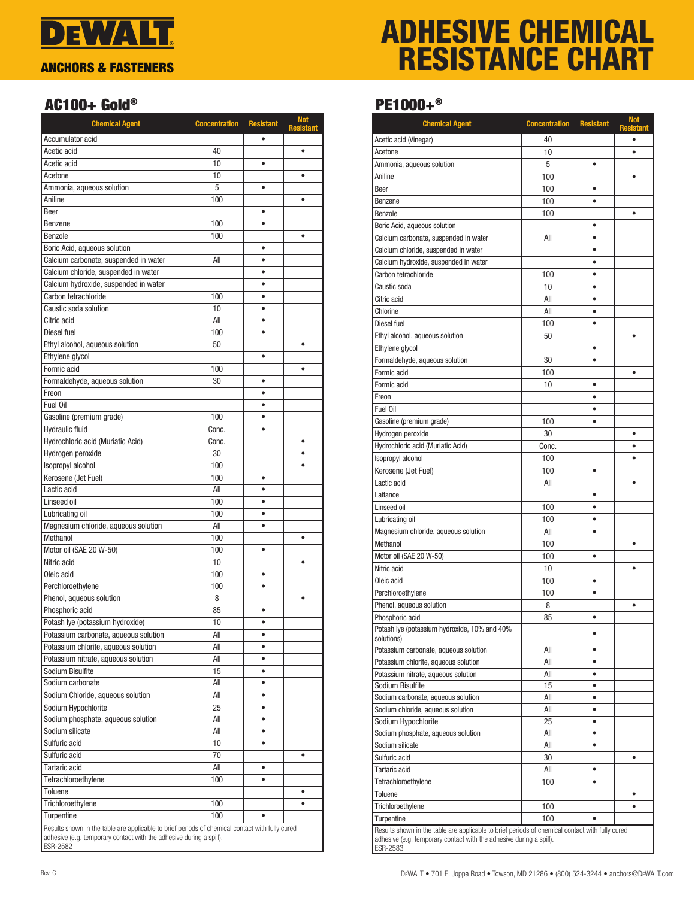

# ADHESIVE CHEMICAL RESISTANCE CHART

### AC100+ Gold®

| <b>Chemical Agent</b>                                                                           | <b>Concentration</b> | <b>Resistant</b> | <b>Not</b><br><b>Resistant</b> |
|-------------------------------------------------------------------------------------------------|----------------------|------------------|--------------------------------|
| Accumulator acid                                                                                |                      |                  |                                |
| Acetic acid                                                                                     | 40                   |                  | $\bullet$                      |
| Acetic acid                                                                                     | 10                   | $\bullet$        |                                |
| Acetone                                                                                         | 10                   |                  | $\bullet$                      |
| Ammonia, aqueous solution                                                                       | 5                    |                  |                                |
| Aniline                                                                                         | 100                  |                  | $\bullet$                      |
| Beer                                                                                            |                      | $\bullet$        |                                |
| Benzene                                                                                         | 100                  | $\bullet$        |                                |
| Benzole                                                                                         | 100                  |                  | ٠                              |
| Boric Acid, aqueous solution                                                                    |                      | $\bullet$        |                                |
| Calcium carbonate, suspended in water                                                           | All                  | ٠                |                                |
| Calcium chloride, suspended in water                                                            |                      | ٠                |                                |
| Calcium hydroxide, suspended in water                                                           |                      | $\bullet$        |                                |
| Carbon tetrachloride                                                                            | 100                  | $\bullet$        |                                |
| Caustic soda solution                                                                           | 10                   | $\bullet$        |                                |
| Citric acid                                                                                     | All                  | $\bullet$        |                                |
| Diesel fuel                                                                                     | 100                  | $\bullet$        |                                |
| Ethyl alcohol, aqueous solution                                                                 | 50                   |                  | $\bullet$                      |
| Ethylene glycol                                                                                 |                      | $\bullet$        |                                |
| Formic acid                                                                                     | 100                  |                  | $\bullet$                      |
| Formaldehyde, aqueous solution                                                                  | 30                   | ٠                |                                |
| Freon                                                                                           |                      | $\bullet$        |                                |
| Fuel Oil                                                                                        |                      | $\bullet$        |                                |
| Gasoline (premium grade)                                                                        | 100                  | $\bullet$        |                                |
| <b>Hydraulic fluid</b>                                                                          | Conc.                | $\bullet$        |                                |
| Hydrochloric acid (Muriatic Acid)                                                               | Conc.                |                  | ٠                              |
| Hydrogen peroxide                                                                               | 30                   |                  |                                |
| Isopropyl alcohol                                                                               | 100                  |                  |                                |
| Kerosene (Jet Fuel)                                                                             | 100                  | $\bullet$        |                                |
| Lactic acid                                                                                     | All                  | ٠                |                                |
| Linseed oil                                                                                     | 100                  | $\bullet$        |                                |
| Lubricating oil                                                                                 | 100                  |                  |                                |
| Magnesium chloride, aqueous solution                                                            | All                  | $\bullet$        |                                |
| Methanol                                                                                        | 100                  |                  | $\bullet$                      |
| Motor oil (SAE 20 W-50)                                                                         | 100                  | ۰                |                                |
| Nitric acid                                                                                     | 10                   |                  | $\bullet$                      |
| Oleic acid                                                                                      | 100                  | $\bullet$        |                                |
| Perchloroethylene                                                                               | 100                  | $\bullet$        |                                |
| Phenol, aqueous solution                                                                        | 8                    |                  | ٠                              |
| Phosphoric acid                                                                                 | 85                   | ۰                |                                |
| Potash lye (potassium hydroxide)                                                                | $10$                 |                  |                                |
| Potassium carbonate, aqueous solution                                                           | All                  | $\bullet$        |                                |
| Potassium chlorite, aqueous solution                                                            | All                  | $\bullet$        |                                |
| Potassium nitrate, aqueous solution                                                             | All                  | ٠                |                                |
| Sodium Bisulfite                                                                                | 15                   | $\bullet$        |                                |
| Sodium carbonate                                                                                | All                  | $\bullet$        |                                |
| Sodium Chloride, aqueous solution                                                               | All                  | $\bullet$        |                                |
| Sodium Hypochlorite                                                                             | 25                   | $\bullet$        |                                |
| Sodium phosphate, aqueous solution                                                              | All                  | $\bullet$        |                                |
| Sodium silicate                                                                                 | All                  | ٠                |                                |
| Sulfuric acid                                                                                   | 10                   | ٠                |                                |
| Sulfuric acid                                                                                   | 70                   |                  | ٠                              |
| Tartaric acid                                                                                   | All                  | ٠                |                                |
| Tetrachloroethylene                                                                             | 100                  | $\bullet$        |                                |
| Toluene                                                                                         |                      |                  | ٠                              |
| Trichloroethylene                                                                               | 100                  |                  | ٠                              |
| Turpentine                                                                                      | 100                  |                  |                                |
| Results shown in the table are applicable to brief periods of chemical contact with fully cured |                      |                  |                                |
| adhesive (e.g. temporary contact with the adhesive during a spill).<br>ESR-2582                 |                      |                  |                                |

### PE1000+®

| Acetic acid (Vinegar)<br>40<br>10<br>$\bullet$<br>Acetone<br>5<br>Ammonia, aqueous solution<br>٠<br>Aniline<br>100<br>٠<br>100<br>Beer<br>٠<br>100<br>Benzene<br>100<br>Benzole<br>$\bullet$<br>Boric Acid, aqueous solution<br>٠<br>All<br>Calcium carbonate, suspended in water<br>$\bullet$<br>Calcium chloride, suspended in water<br>$\bullet$<br>Calcium hydroxide, suspended in water<br>Carbon tetrachloride<br>100<br>$\bullet$<br>Caustic soda<br>10<br>٠<br>Citric acid<br>All<br>٠<br>All<br>Chlorine<br>٠<br>100<br>Diesel fuel<br>50<br>Ethyl alcohol, aqueous solution<br>$\bullet$<br>Ethylene glycol<br>٠<br>Formaldehyde, aqueous solution<br>30<br>$\bullet$<br>Formic acid<br>100<br>$\bullet$<br>Formic acid<br>10<br>Freon<br>$\bullet$<br>Fuel Oil<br>٠<br>Gasoline (premium grade)<br>100<br>$\bullet$<br>30<br>Hydrogen peroxide<br>٠<br>Hydrochloric acid (Muriatic Acid)<br>Conc.<br>Isopropyl alcohol<br>100<br>$\bullet$<br>Kerosene (Jet Fuel)<br>100<br>٠<br>Lactic acid<br>All<br>$\bullet$<br>Laitance<br>٠<br>100<br>Linseed oil<br>100<br>Lubricating oil<br>$\bullet$<br>Magnesium chloride, aqueous solution<br>All<br>٠<br>Methanol<br>100<br>٠<br>Motor oil (SAE 20 W-50)<br>100<br>٠<br>Nitric acid<br>10<br>100<br>Oleic acid<br>$\bullet$<br>Perchloroethylene<br>100<br>٠<br>Phenol, aqueous solution<br>8<br>٠<br>Phosphoric acid<br>85<br>$\bullet$<br>Potash Iye (potassium hydroxide, 10% and 40%<br>٠<br>solutions)<br>Potassium carbonate, aqueous solution<br>All<br>٠<br>All<br>Potassium chlorite, aqueous solution<br>$\bullet$<br>Potassium nitrate, aqueous solution<br>AII<br>٠<br>Sodium Bisulfite<br>15<br>٠<br>Sodium carbonate, aqueous solution<br>All<br>Sodium chloride, aqueous solution<br>All<br>٠<br>Sodium Hypochlorite<br>25<br>٠<br>Sodium phosphate, aqueous solution<br>AII<br>٠<br>Sodium silicate<br>All<br>Sulfuric acid<br>30<br>٠<br>All<br>Tartaric acid<br>٠<br>100<br>Tetrachloroethylene<br>٠<br>Toluene<br>٠<br>Trichloroethylene<br>100<br>Turpentine<br>100 | <b>Chemical Agent</b> | <b>Concentration</b> | <b>Resistant</b> | <b>Not</b><br><b>Resistant</b> |
|-------------------------------------------------------------------------------------------------------------------------------------------------------------------------------------------------------------------------------------------------------------------------------------------------------------------------------------------------------------------------------------------------------------------------------------------------------------------------------------------------------------------------------------------------------------------------------------------------------------------------------------------------------------------------------------------------------------------------------------------------------------------------------------------------------------------------------------------------------------------------------------------------------------------------------------------------------------------------------------------------------------------------------------------------------------------------------------------------------------------------------------------------------------------------------------------------------------------------------------------------------------------------------------------------------------------------------------------------------------------------------------------------------------------------------------------------------------------------------------------------------------------------------------------------------------------------------------------------------------------------------------------------------------------------------------------------------------------------------------------------------------------------------------------------------------------------------------------------------------------------------------------------------------------------------------------------------------------------------------------------------------------------------------------------|-----------------------|----------------------|------------------|--------------------------------|
|                                                                                                                                                                                                                                                                                                                                                                                                                                                                                                                                                                                                                                                                                                                                                                                                                                                                                                                                                                                                                                                                                                                                                                                                                                                                                                                                                                                                                                                                                                                                                                                                                                                                                                                                                                                                                                                                                                                                                                                                                                                 |                       |                      |                  |                                |
|                                                                                                                                                                                                                                                                                                                                                                                                                                                                                                                                                                                                                                                                                                                                                                                                                                                                                                                                                                                                                                                                                                                                                                                                                                                                                                                                                                                                                                                                                                                                                                                                                                                                                                                                                                                                                                                                                                                                                                                                                                                 |                       |                      |                  |                                |
|                                                                                                                                                                                                                                                                                                                                                                                                                                                                                                                                                                                                                                                                                                                                                                                                                                                                                                                                                                                                                                                                                                                                                                                                                                                                                                                                                                                                                                                                                                                                                                                                                                                                                                                                                                                                                                                                                                                                                                                                                                                 |                       |                      |                  |                                |
|                                                                                                                                                                                                                                                                                                                                                                                                                                                                                                                                                                                                                                                                                                                                                                                                                                                                                                                                                                                                                                                                                                                                                                                                                                                                                                                                                                                                                                                                                                                                                                                                                                                                                                                                                                                                                                                                                                                                                                                                                                                 |                       |                      |                  |                                |
|                                                                                                                                                                                                                                                                                                                                                                                                                                                                                                                                                                                                                                                                                                                                                                                                                                                                                                                                                                                                                                                                                                                                                                                                                                                                                                                                                                                                                                                                                                                                                                                                                                                                                                                                                                                                                                                                                                                                                                                                                                                 |                       |                      |                  |                                |
|                                                                                                                                                                                                                                                                                                                                                                                                                                                                                                                                                                                                                                                                                                                                                                                                                                                                                                                                                                                                                                                                                                                                                                                                                                                                                                                                                                                                                                                                                                                                                                                                                                                                                                                                                                                                                                                                                                                                                                                                                                                 |                       |                      |                  |                                |
|                                                                                                                                                                                                                                                                                                                                                                                                                                                                                                                                                                                                                                                                                                                                                                                                                                                                                                                                                                                                                                                                                                                                                                                                                                                                                                                                                                                                                                                                                                                                                                                                                                                                                                                                                                                                                                                                                                                                                                                                                                                 |                       |                      |                  |                                |
|                                                                                                                                                                                                                                                                                                                                                                                                                                                                                                                                                                                                                                                                                                                                                                                                                                                                                                                                                                                                                                                                                                                                                                                                                                                                                                                                                                                                                                                                                                                                                                                                                                                                                                                                                                                                                                                                                                                                                                                                                                                 |                       |                      |                  |                                |
|                                                                                                                                                                                                                                                                                                                                                                                                                                                                                                                                                                                                                                                                                                                                                                                                                                                                                                                                                                                                                                                                                                                                                                                                                                                                                                                                                                                                                                                                                                                                                                                                                                                                                                                                                                                                                                                                                                                                                                                                                                                 |                       |                      |                  |                                |
|                                                                                                                                                                                                                                                                                                                                                                                                                                                                                                                                                                                                                                                                                                                                                                                                                                                                                                                                                                                                                                                                                                                                                                                                                                                                                                                                                                                                                                                                                                                                                                                                                                                                                                                                                                                                                                                                                                                                                                                                                                                 |                       |                      |                  |                                |
|                                                                                                                                                                                                                                                                                                                                                                                                                                                                                                                                                                                                                                                                                                                                                                                                                                                                                                                                                                                                                                                                                                                                                                                                                                                                                                                                                                                                                                                                                                                                                                                                                                                                                                                                                                                                                                                                                                                                                                                                                                                 |                       |                      |                  |                                |
|                                                                                                                                                                                                                                                                                                                                                                                                                                                                                                                                                                                                                                                                                                                                                                                                                                                                                                                                                                                                                                                                                                                                                                                                                                                                                                                                                                                                                                                                                                                                                                                                                                                                                                                                                                                                                                                                                                                                                                                                                                                 |                       |                      |                  |                                |
|                                                                                                                                                                                                                                                                                                                                                                                                                                                                                                                                                                                                                                                                                                                                                                                                                                                                                                                                                                                                                                                                                                                                                                                                                                                                                                                                                                                                                                                                                                                                                                                                                                                                                                                                                                                                                                                                                                                                                                                                                                                 |                       |                      |                  |                                |
|                                                                                                                                                                                                                                                                                                                                                                                                                                                                                                                                                                                                                                                                                                                                                                                                                                                                                                                                                                                                                                                                                                                                                                                                                                                                                                                                                                                                                                                                                                                                                                                                                                                                                                                                                                                                                                                                                                                                                                                                                                                 |                       |                      |                  |                                |
|                                                                                                                                                                                                                                                                                                                                                                                                                                                                                                                                                                                                                                                                                                                                                                                                                                                                                                                                                                                                                                                                                                                                                                                                                                                                                                                                                                                                                                                                                                                                                                                                                                                                                                                                                                                                                                                                                                                                                                                                                                                 |                       |                      |                  |                                |
|                                                                                                                                                                                                                                                                                                                                                                                                                                                                                                                                                                                                                                                                                                                                                                                                                                                                                                                                                                                                                                                                                                                                                                                                                                                                                                                                                                                                                                                                                                                                                                                                                                                                                                                                                                                                                                                                                                                                                                                                                                                 |                       |                      |                  |                                |
|                                                                                                                                                                                                                                                                                                                                                                                                                                                                                                                                                                                                                                                                                                                                                                                                                                                                                                                                                                                                                                                                                                                                                                                                                                                                                                                                                                                                                                                                                                                                                                                                                                                                                                                                                                                                                                                                                                                                                                                                                                                 |                       |                      |                  |                                |
|                                                                                                                                                                                                                                                                                                                                                                                                                                                                                                                                                                                                                                                                                                                                                                                                                                                                                                                                                                                                                                                                                                                                                                                                                                                                                                                                                                                                                                                                                                                                                                                                                                                                                                                                                                                                                                                                                                                                                                                                                                                 |                       |                      |                  |                                |
|                                                                                                                                                                                                                                                                                                                                                                                                                                                                                                                                                                                                                                                                                                                                                                                                                                                                                                                                                                                                                                                                                                                                                                                                                                                                                                                                                                                                                                                                                                                                                                                                                                                                                                                                                                                                                                                                                                                                                                                                                                                 |                       |                      |                  |                                |
|                                                                                                                                                                                                                                                                                                                                                                                                                                                                                                                                                                                                                                                                                                                                                                                                                                                                                                                                                                                                                                                                                                                                                                                                                                                                                                                                                                                                                                                                                                                                                                                                                                                                                                                                                                                                                                                                                                                                                                                                                                                 |                       |                      |                  |                                |
|                                                                                                                                                                                                                                                                                                                                                                                                                                                                                                                                                                                                                                                                                                                                                                                                                                                                                                                                                                                                                                                                                                                                                                                                                                                                                                                                                                                                                                                                                                                                                                                                                                                                                                                                                                                                                                                                                                                                                                                                                                                 |                       |                      |                  |                                |
|                                                                                                                                                                                                                                                                                                                                                                                                                                                                                                                                                                                                                                                                                                                                                                                                                                                                                                                                                                                                                                                                                                                                                                                                                                                                                                                                                                                                                                                                                                                                                                                                                                                                                                                                                                                                                                                                                                                                                                                                                                                 |                       |                      |                  |                                |
|                                                                                                                                                                                                                                                                                                                                                                                                                                                                                                                                                                                                                                                                                                                                                                                                                                                                                                                                                                                                                                                                                                                                                                                                                                                                                                                                                                                                                                                                                                                                                                                                                                                                                                                                                                                                                                                                                                                                                                                                                                                 |                       |                      |                  |                                |
|                                                                                                                                                                                                                                                                                                                                                                                                                                                                                                                                                                                                                                                                                                                                                                                                                                                                                                                                                                                                                                                                                                                                                                                                                                                                                                                                                                                                                                                                                                                                                                                                                                                                                                                                                                                                                                                                                                                                                                                                                                                 |                       |                      |                  |                                |
|                                                                                                                                                                                                                                                                                                                                                                                                                                                                                                                                                                                                                                                                                                                                                                                                                                                                                                                                                                                                                                                                                                                                                                                                                                                                                                                                                                                                                                                                                                                                                                                                                                                                                                                                                                                                                                                                                                                                                                                                                                                 |                       |                      |                  |                                |
|                                                                                                                                                                                                                                                                                                                                                                                                                                                                                                                                                                                                                                                                                                                                                                                                                                                                                                                                                                                                                                                                                                                                                                                                                                                                                                                                                                                                                                                                                                                                                                                                                                                                                                                                                                                                                                                                                                                                                                                                                                                 |                       |                      |                  |                                |
|                                                                                                                                                                                                                                                                                                                                                                                                                                                                                                                                                                                                                                                                                                                                                                                                                                                                                                                                                                                                                                                                                                                                                                                                                                                                                                                                                                                                                                                                                                                                                                                                                                                                                                                                                                                                                                                                                                                                                                                                                                                 |                       |                      |                  |                                |
|                                                                                                                                                                                                                                                                                                                                                                                                                                                                                                                                                                                                                                                                                                                                                                                                                                                                                                                                                                                                                                                                                                                                                                                                                                                                                                                                                                                                                                                                                                                                                                                                                                                                                                                                                                                                                                                                                                                                                                                                                                                 |                       |                      |                  |                                |
|                                                                                                                                                                                                                                                                                                                                                                                                                                                                                                                                                                                                                                                                                                                                                                                                                                                                                                                                                                                                                                                                                                                                                                                                                                                                                                                                                                                                                                                                                                                                                                                                                                                                                                                                                                                                                                                                                                                                                                                                                                                 |                       |                      |                  |                                |
|                                                                                                                                                                                                                                                                                                                                                                                                                                                                                                                                                                                                                                                                                                                                                                                                                                                                                                                                                                                                                                                                                                                                                                                                                                                                                                                                                                                                                                                                                                                                                                                                                                                                                                                                                                                                                                                                                                                                                                                                                                                 |                       |                      |                  |                                |
|                                                                                                                                                                                                                                                                                                                                                                                                                                                                                                                                                                                                                                                                                                                                                                                                                                                                                                                                                                                                                                                                                                                                                                                                                                                                                                                                                                                                                                                                                                                                                                                                                                                                                                                                                                                                                                                                                                                                                                                                                                                 |                       |                      |                  |                                |
|                                                                                                                                                                                                                                                                                                                                                                                                                                                                                                                                                                                                                                                                                                                                                                                                                                                                                                                                                                                                                                                                                                                                                                                                                                                                                                                                                                                                                                                                                                                                                                                                                                                                                                                                                                                                                                                                                                                                                                                                                                                 |                       |                      |                  |                                |
|                                                                                                                                                                                                                                                                                                                                                                                                                                                                                                                                                                                                                                                                                                                                                                                                                                                                                                                                                                                                                                                                                                                                                                                                                                                                                                                                                                                                                                                                                                                                                                                                                                                                                                                                                                                                                                                                                                                                                                                                                                                 |                       |                      |                  |                                |
|                                                                                                                                                                                                                                                                                                                                                                                                                                                                                                                                                                                                                                                                                                                                                                                                                                                                                                                                                                                                                                                                                                                                                                                                                                                                                                                                                                                                                                                                                                                                                                                                                                                                                                                                                                                                                                                                                                                                                                                                                                                 |                       |                      |                  |                                |
|                                                                                                                                                                                                                                                                                                                                                                                                                                                                                                                                                                                                                                                                                                                                                                                                                                                                                                                                                                                                                                                                                                                                                                                                                                                                                                                                                                                                                                                                                                                                                                                                                                                                                                                                                                                                                                                                                                                                                                                                                                                 |                       |                      |                  |                                |
|                                                                                                                                                                                                                                                                                                                                                                                                                                                                                                                                                                                                                                                                                                                                                                                                                                                                                                                                                                                                                                                                                                                                                                                                                                                                                                                                                                                                                                                                                                                                                                                                                                                                                                                                                                                                                                                                                                                                                                                                                                                 |                       |                      |                  |                                |
|                                                                                                                                                                                                                                                                                                                                                                                                                                                                                                                                                                                                                                                                                                                                                                                                                                                                                                                                                                                                                                                                                                                                                                                                                                                                                                                                                                                                                                                                                                                                                                                                                                                                                                                                                                                                                                                                                                                                                                                                                                                 |                       |                      |                  |                                |
|                                                                                                                                                                                                                                                                                                                                                                                                                                                                                                                                                                                                                                                                                                                                                                                                                                                                                                                                                                                                                                                                                                                                                                                                                                                                                                                                                                                                                                                                                                                                                                                                                                                                                                                                                                                                                                                                                                                                                                                                                                                 |                       |                      |                  |                                |
|                                                                                                                                                                                                                                                                                                                                                                                                                                                                                                                                                                                                                                                                                                                                                                                                                                                                                                                                                                                                                                                                                                                                                                                                                                                                                                                                                                                                                                                                                                                                                                                                                                                                                                                                                                                                                                                                                                                                                                                                                                                 |                       |                      |                  |                                |
|                                                                                                                                                                                                                                                                                                                                                                                                                                                                                                                                                                                                                                                                                                                                                                                                                                                                                                                                                                                                                                                                                                                                                                                                                                                                                                                                                                                                                                                                                                                                                                                                                                                                                                                                                                                                                                                                                                                                                                                                                                                 |                       |                      |                  |                                |
|                                                                                                                                                                                                                                                                                                                                                                                                                                                                                                                                                                                                                                                                                                                                                                                                                                                                                                                                                                                                                                                                                                                                                                                                                                                                                                                                                                                                                                                                                                                                                                                                                                                                                                                                                                                                                                                                                                                                                                                                                                                 |                       |                      |                  |                                |
|                                                                                                                                                                                                                                                                                                                                                                                                                                                                                                                                                                                                                                                                                                                                                                                                                                                                                                                                                                                                                                                                                                                                                                                                                                                                                                                                                                                                                                                                                                                                                                                                                                                                                                                                                                                                                                                                                                                                                                                                                                                 |                       |                      |                  |                                |
|                                                                                                                                                                                                                                                                                                                                                                                                                                                                                                                                                                                                                                                                                                                                                                                                                                                                                                                                                                                                                                                                                                                                                                                                                                                                                                                                                                                                                                                                                                                                                                                                                                                                                                                                                                                                                                                                                                                                                                                                                                                 |                       |                      |                  |                                |
|                                                                                                                                                                                                                                                                                                                                                                                                                                                                                                                                                                                                                                                                                                                                                                                                                                                                                                                                                                                                                                                                                                                                                                                                                                                                                                                                                                                                                                                                                                                                                                                                                                                                                                                                                                                                                                                                                                                                                                                                                                                 |                       |                      |                  |                                |
|                                                                                                                                                                                                                                                                                                                                                                                                                                                                                                                                                                                                                                                                                                                                                                                                                                                                                                                                                                                                                                                                                                                                                                                                                                                                                                                                                                                                                                                                                                                                                                                                                                                                                                                                                                                                                                                                                                                                                                                                                                                 |                       |                      |                  |                                |
|                                                                                                                                                                                                                                                                                                                                                                                                                                                                                                                                                                                                                                                                                                                                                                                                                                                                                                                                                                                                                                                                                                                                                                                                                                                                                                                                                                                                                                                                                                                                                                                                                                                                                                                                                                                                                                                                                                                                                                                                                                                 |                       |                      |                  |                                |
|                                                                                                                                                                                                                                                                                                                                                                                                                                                                                                                                                                                                                                                                                                                                                                                                                                                                                                                                                                                                                                                                                                                                                                                                                                                                                                                                                                                                                                                                                                                                                                                                                                                                                                                                                                                                                                                                                                                                                                                                                                                 |                       |                      |                  |                                |
|                                                                                                                                                                                                                                                                                                                                                                                                                                                                                                                                                                                                                                                                                                                                                                                                                                                                                                                                                                                                                                                                                                                                                                                                                                                                                                                                                                                                                                                                                                                                                                                                                                                                                                                                                                                                                                                                                                                                                                                                                                                 |                       |                      |                  |                                |
|                                                                                                                                                                                                                                                                                                                                                                                                                                                                                                                                                                                                                                                                                                                                                                                                                                                                                                                                                                                                                                                                                                                                                                                                                                                                                                                                                                                                                                                                                                                                                                                                                                                                                                                                                                                                                                                                                                                                                                                                                                                 |                       |                      |                  |                                |
|                                                                                                                                                                                                                                                                                                                                                                                                                                                                                                                                                                                                                                                                                                                                                                                                                                                                                                                                                                                                                                                                                                                                                                                                                                                                                                                                                                                                                                                                                                                                                                                                                                                                                                                                                                                                                                                                                                                                                                                                                                                 |                       |                      |                  |                                |
|                                                                                                                                                                                                                                                                                                                                                                                                                                                                                                                                                                                                                                                                                                                                                                                                                                                                                                                                                                                                                                                                                                                                                                                                                                                                                                                                                                                                                                                                                                                                                                                                                                                                                                                                                                                                                                                                                                                                                                                                                                                 |                       |                      |                  |                                |
|                                                                                                                                                                                                                                                                                                                                                                                                                                                                                                                                                                                                                                                                                                                                                                                                                                                                                                                                                                                                                                                                                                                                                                                                                                                                                                                                                                                                                                                                                                                                                                                                                                                                                                                                                                                                                                                                                                                                                                                                                                                 |                       |                      |                  |                                |
|                                                                                                                                                                                                                                                                                                                                                                                                                                                                                                                                                                                                                                                                                                                                                                                                                                                                                                                                                                                                                                                                                                                                                                                                                                                                                                                                                                                                                                                                                                                                                                                                                                                                                                                                                                                                                                                                                                                                                                                                                                                 |                       |                      |                  |                                |
|                                                                                                                                                                                                                                                                                                                                                                                                                                                                                                                                                                                                                                                                                                                                                                                                                                                                                                                                                                                                                                                                                                                                                                                                                                                                                                                                                                                                                                                                                                                                                                                                                                                                                                                                                                                                                                                                                                                                                                                                                                                 |                       |                      |                  |                                |
|                                                                                                                                                                                                                                                                                                                                                                                                                                                                                                                                                                                                                                                                                                                                                                                                                                                                                                                                                                                                                                                                                                                                                                                                                                                                                                                                                                                                                                                                                                                                                                                                                                                                                                                                                                                                                                                                                                                                                                                                                                                 |                       |                      |                  |                                |
|                                                                                                                                                                                                                                                                                                                                                                                                                                                                                                                                                                                                                                                                                                                                                                                                                                                                                                                                                                                                                                                                                                                                                                                                                                                                                                                                                                                                                                                                                                                                                                                                                                                                                                                                                                                                                                                                                                                                                                                                                                                 |                       |                      |                  |                                |
| Results shown in the table are applicable to brief periods of chemical contact with fully cured<br>adhesive (e.g. temporary contact with the adhesive during a spill).                                                                                                                                                                                                                                                                                                                                                                                                                                                                                                                                                                                                                                                                                                                                                                                                                                                                                                                                                                                                                                                                                                                                                                                                                                                                                                                                                                                                                                                                                                                                                                                                                                                                                                                                                                                                                                                                          |                       |                      |                  |                                |
| ESR-2583                                                                                                                                                                                                                                                                                                                                                                                                                                                                                                                                                                                                                                                                                                                                                                                                                                                                                                                                                                                                                                                                                                                                                                                                                                                                                                                                                                                                                                                                                                                                                                                                                                                                                                                                                                                                                                                                                                                                                                                                                                        |                       |                      |                  |                                |